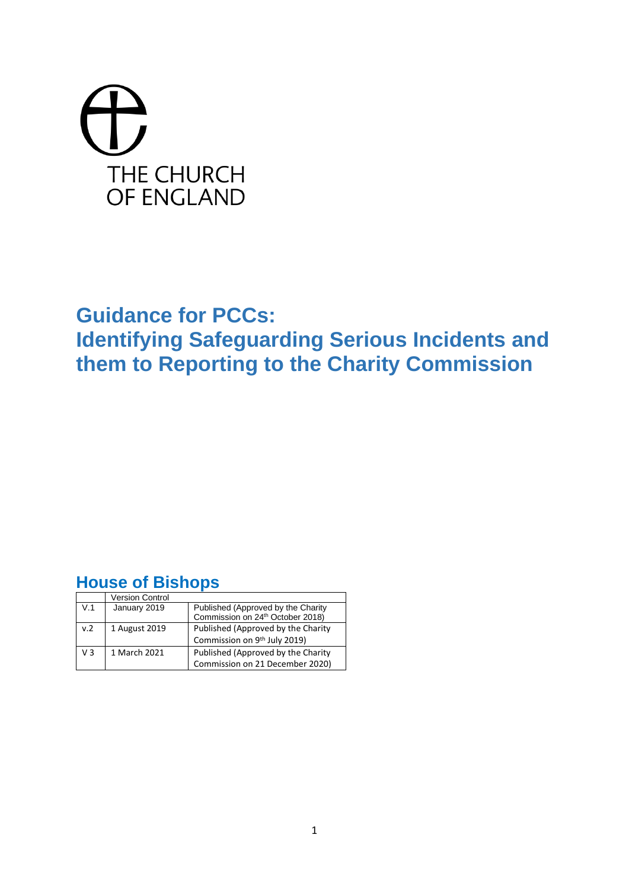# THE CHURCH OF ENGLAND

# **Guidance for PCCs:**

**Identifying Safeguarding Serious Incidents and them to Reporting to the Charity Commission**

# **House of Bishops**

|                | Version Control |                                                                                    |
|----------------|-----------------|------------------------------------------------------------------------------------|
| V.1            | January 2019    | Published (Approved by the Charity<br>Commission on 24 <sup>th</sup> October 2018) |
|                |                 |                                                                                    |
| v.2            | 1 August 2019   | Published (Approved by the Charity                                                 |
|                |                 | Commission on 9th July 2019)                                                       |
| V <sub>3</sub> | 1 March 2021    | Published (Approved by the Charity                                                 |
|                |                 | Commission on 21 December 2020)                                                    |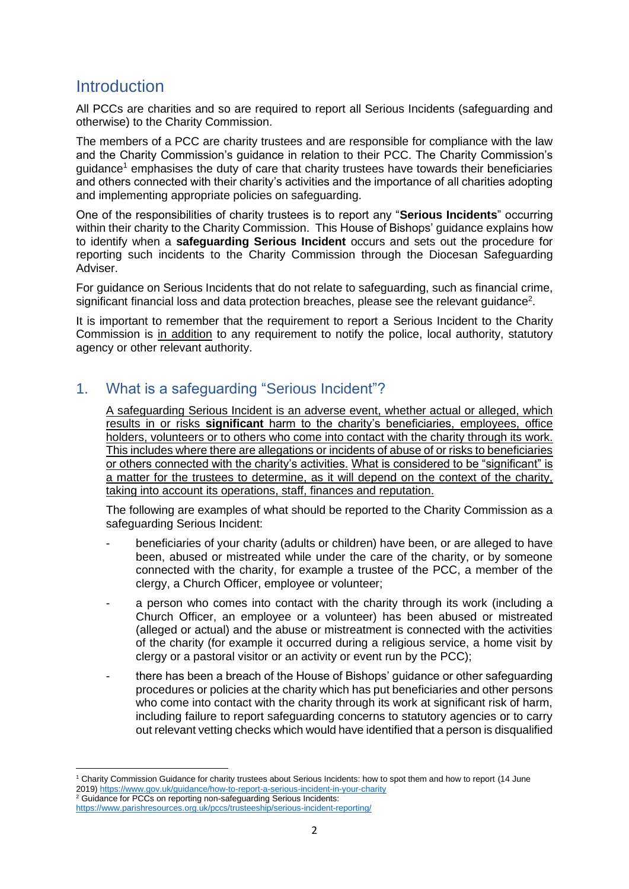# **Introduction**

All PCCs are charities and so are required to report all Serious Incidents (safeguarding and otherwise) to the Charity Commission.

The members of a PCC are charity trustees and are responsible for compliance with the law and the Charity Commission's guidance in relation to their PCC. The Charity Commission's guidance<sup>1</sup> emphasises the duty of care that charity trustees have towards their beneficiaries and others connected with their charity's activities and the importance of all charities adopting and implementing appropriate policies on safeguarding.

One of the responsibilities of charity trustees is to report any "**Serious Incidents**" occurring within their charity to the Charity Commission. This House of Bishops' guidance explains how to identify when a **safeguarding Serious Incident** occurs and sets out the procedure for reporting such incidents to the Charity Commission through the Diocesan Safeguarding Adviser.

For guidance on Serious Incidents that do not relate to safeguarding, such as financial crime, significant financial loss and data protection breaches, please see the relevant guidance<sup>2</sup>.

It is important to remember that the requirement to report a Serious Incident to the Charity Commission is in addition to any requirement to notify the police, local authority, statutory agency or other relevant authority.

# 1. What is a safeguarding "Serious Incident"?

A safeguarding Serious Incident is an adverse event, whether actual or alleged, which results in or risks **significant** harm to the charity's beneficiaries, employees, office holders, volunteers or to others who come into contact with the charity through its work. This includes where there are allegations or incidents of abuse of or risks to beneficiaries or others connected with the charity's activities. What is considered to be "significant" is a matter for the trustees to determine, as it will depend on the context of the charity, taking into account its operations, staff, finances and reputation.

The following are examples of what should be reported to the Charity Commission as a safeguarding Serious Incident:

- beneficiaries of your charity (adults or children) have been, or are alleged to have been, abused or mistreated while under the care of the charity, or by someone connected with the charity, for example a trustee of the PCC, a member of the clergy, a Church Officer, employee or volunteer;
- a person who comes into contact with the charity through its work (including a Church Officer, an employee or a volunteer) has been abused or mistreated (alleged or actual) and the abuse or mistreatment is connected with the activities of the charity (for example it occurred during a religious service, a home visit by clergy or a pastoral visitor or an activity or event run by the PCC);
- there has been a breach of the House of Bishops' guidance or other safeguarding procedures or policies at the charity which has put beneficiaries and other persons who come into contact with the charity through its work at significant risk of harm, including failure to report safeguarding concerns to statutory agencies or to carry out relevant vetting checks which would have identified that a person is disqualified

<sup>2</sup> Guidance for PCCs on reporting non-safeguarding Serious Incidents:

<sup>1</sup> Charity Commission Guidance for charity trustees about Serious Incidents: how to spot them and how to report (14 June 2019[\) https://www.gov.uk/guidance/how-to-report-a-serious-incident-in-your-charity](https://www.gov.uk/guidance/how-to-report-a-serious-incident-in-your-charity)

<https://www.parishresources.org.uk/pccs/trusteeship/serious-incident-reporting/>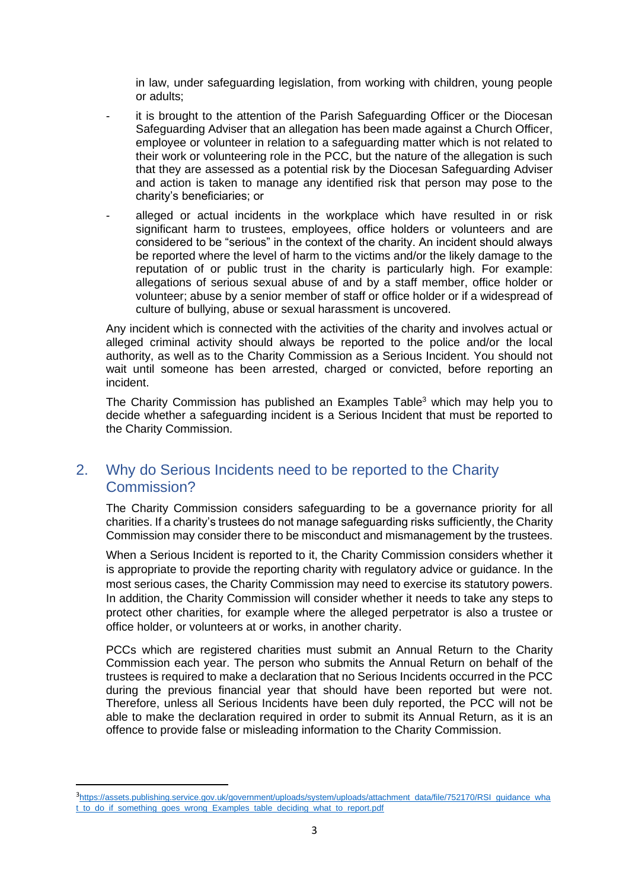in law, under safeguarding legislation, from working with children, young people or adults;

- it is brought to the attention of the Parish Safeguarding Officer or the Diocesan Safeguarding Adviser that an allegation has been made against a Church Officer, employee or volunteer in relation to a safeguarding matter which is not related to their work or volunteering role in the PCC, but the nature of the allegation is such that they are assessed as a potential risk by the Diocesan Safeguarding Adviser and action is taken to manage any identified risk that person may pose to the charity's beneficiaries; or
- alleged or actual incidents in the workplace which have resulted in or risk significant harm to trustees, employees, office holders or volunteers and are considered to be "serious" in the context of the charity. An incident should always be reported where the level of harm to the victims and/or the likely damage to the reputation of or public trust in the charity is particularly high. For example: allegations of serious sexual abuse of and by a staff member, office holder or volunteer; abuse by a senior member of staff or office holder or if a widespread of culture of bullying, abuse or sexual harassment is uncovered.

Any incident which is connected with the activities of the charity and involves actual or alleged criminal activity should always be reported to the police and/or the local authority, as well as to the Charity Commission as a Serious Incident. You should not wait until someone has been arrested, charged or convicted, before reporting an incident.

The Charity Commission has published an Examples Table<sup>3</sup> which may help you to decide whether a safeguarding incident is a Serious Incident that must be reported to the Charity Commission.

# 2. Why do Serious Incidents need to be reported to the Charity Commission?

The Charity Commission considers safeguarding to be a governance priority for all charities. If a charity's trustees do not manage safeguarding risks sufficiently, the Charity Commission may consider there to be misconduct and mismanagement by the trustees.

When a Serious Incident is reported to it, the Charity Commission considers whether it is appropriate to provide the reporting charity with regulatory advice or guidance. In the most serious cases, the Charity Commission may need to exercise its statutory powers. In addition, the Charity Commission will consider whether it needs to take any steps to protect other charities, for example where the alleged perpetrator is also a trustee or office holder, or volunteers at or works, in another charity.

PCCs which are registered charities must submit an Annual Return to the Charity Commission each year. The person who submits the Annual Return on behalf of the trustees is required to make a declaration that no Serious Incidents occurred in the PCC during the previous financial year that should have been reported but were not. Therefore, unless all Serious Incidents have been duly reported, the PCC will not be able to make the declaration required in order to submit its Annual Return, as it is an offence to provide false or misleading information to the Charity Commission.

<sup>3</sup> [https://assets.publishing.service.gov.uk/government/uploads/system/uploads/attachment\\_data/file/752170/RSI\\_guidance\\_wha](https://assets.publishing.service.gov.uk/government/uploads/system/uploads/attachment_data/file/752170/RSI_guidance_what_to_do_if_something_goes_wrong_Examples_table_deciding_what_to_report.pdf) t to do if something goes wrong Examples table deciding what to report.pdf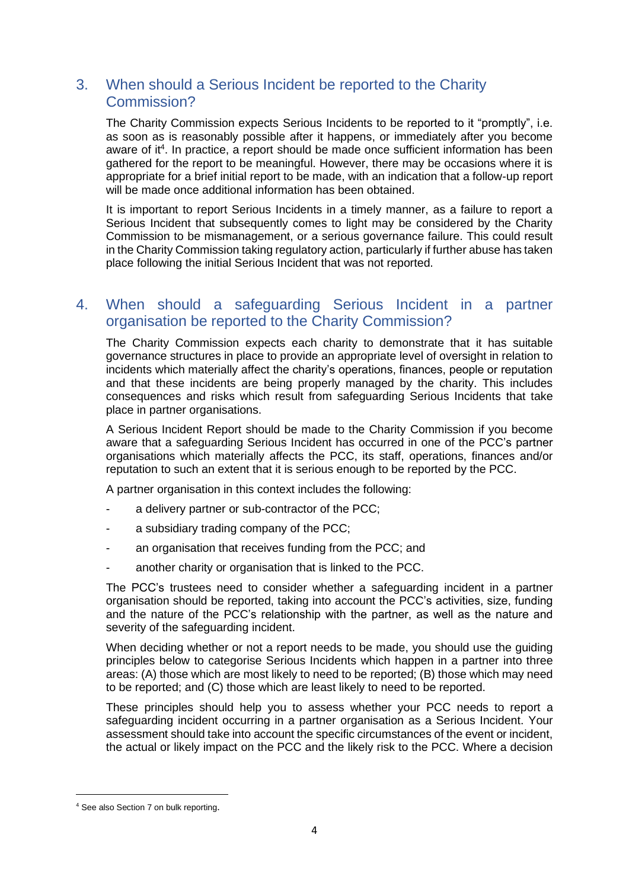# 3. When should a Serious Incident be reported to the Charity Commission?

The Charity Commission expects Serious Incidents to be reported to it "promptly", i.e. as soon as is reasonably possible after it happens, or immediately after you become aware of it<sup>4</sup>. In practice, a report should be made once sufficient information has been gathered for the report to be meaningful. However, there may be occasions where it is appropriate for a brief initial report to be made, with an indication that a follow-up report will be made once additional information has been obtained.

It is important to report Serious Incidents in a timely manner, as a failure to report a Serious Incident that subsequently comes to light may be considered by the Charity Commission to be mismanagement, or a serious governance failure. This could result in the Charity Commission taking regulatory action, particularly if further abuse has taken place following the initial Serious Incident that was not reported.

#### 4. When should a safeguarding Serious Incident in a partner organisation be reported to the Charity Commission?

The Charity Commission expects each charity to demonstrate that it has suitable governance structures in place to provide an appropriate level of oversight in relation to incidents which materially affect the charity's operations, finances, people or reputation and that these incidents are being properly managed by the charity. This includes consequences and risks which result from safeguarding Serious Incidents that take place in partner organisations.

A Serious Incident Report should be made to the Charity Commission if you become aware that a safeguarding Serious Incident has occurred in one of the PCC's partner organisations which materially affects the PCC, its staff, operations, finances and/or reputation to such an extent that it is serious enough to be reported by the PCC.

A partner organisation in this context includes the following:

- a delivery partner or sub-contractor of the PCC;
- a subsidiary trading company of the PCC;
- an organisation that receives funding from the PCC; and
- another charity or organisation that is linked to the PCC.

The PCC's trustees need to consider whether a safeguarding incident in a partner organisation should be reported, taking into account the PCC's activities, size, funding and the nature of the PCC's relationship with the partner, as well as the nature and severity of the safeguarding incident.

When deciding whether or not a report needs to be made, you should use the guiding principles below to categorise Serious Incidents which happen in a partner into three areas: (A) those which are most likely to need to be reported; (B) those which may need to be reported; and (C) those which are least likely to need to be reported.

These principles should help you to assess whether your PCC needs to report a safeguarding incident occurring in a partner organisation as a Serious Incident. Your assessment should take into account the specific circumstances of the event or incident, the actual or likely impact on the PCC and the likely risk to the PCC. Where a decision

<sup>4</sup> See also Section 7 on bulk reporting.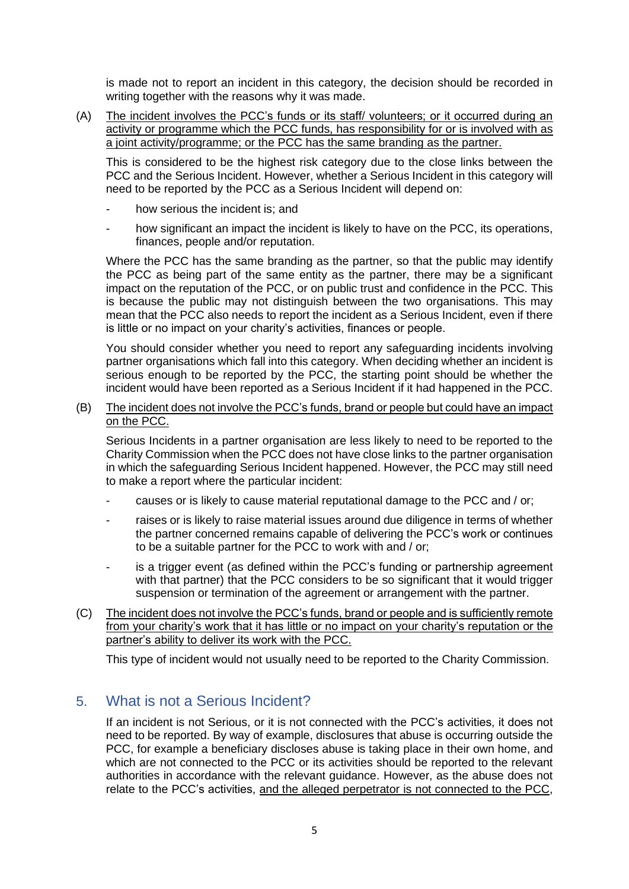is made not to report an incident in this category, the decision should be recorded in writing together with the reasons why it was made.

(A) The incident involves the PCC's funds or its staff/ volunteers; or it occurred during an activity or programme which the PCC funds, has responsibility for or is involved with as a joint activity/programme; or the PCC has the same branding as the partner.

This is considered to be the highest risk category due to the close links between the PCC and the Serious Incident. However, whether a Serious Incident in this category will need to be reported by the PCC as a Serious Incident will depend on:

- how serious the incident is; and
- how significant an impact the incident is likely to have on the PCC, its operations, finances, people and/or reputation.

Where the PCC has the same branding as the partner, so that the public may identify the PCC as being part of the same entity as the partner, there may be a significant impact on the reputation of the PCC, or on public trust and confidence in the PCC. This is because the public may not distinguish between the two organisations. This may mean that the PCC also needs to report the incident as a Serious Incident, even if there is little or no impact on your charity's activities, finances or people.

You should consider whether you need to report any safeguarding incidents involving partner organisations which fall into this category. When deciding whether an incident is serious enough to be reported by the PCC, the starting point should be whether the incident would have been reported as a Serious Incident if it had happened in the PCC.

#### (B) The incident does not involve the PCC's funds, brand or people but could have an impact on the PCC.

Serious Incidents in a partner organisation are less likely to need to be reported to the Charity Commission when the PCC does not have close links to the partner organisation in which the safeguarding Serious Incident happened. However, the PCC may still need to make a report where the particular incident:

- causes or is likely to cause material reputational damage to the PCC and / or;
- raises or is likely to raise material issues around due diligence in terms of whether the partner concerned remains capable of delivering the PCC's work or continues to be a suitable partner for the PCC to work with and / or;
- is a trigger event (as defined within the PCC's funding or partnership agreement with that partner) that the PCC considers to be so significant that it would trigger suspension or termination of the agreement or arrangement with the partner.
- (C) The incident does not involve the PCC's funds, brand or people and is sufficiently remote from your charity's work that it has little or no impact on your charity's reputation or the partner's ability to deliver its work with the PCC.

This type of incident would not usually need to be reported to the Charity Commission.

#### 5. What is not a Serious Incident?

If an incident is not Serious, or it is not connected with the PCC's activities, it does not need to be reported. By way of example, disclosures that abuse is occurring outside the PCC, for example a beneficiary discloses abuse is taking place in their own home, and which are not connected to the PCC or its activities should be reported to the relevant authorities in accordance with the relevant guidance. However, as the abuse does not relate to the PCC's activities, and the alleged perpetrator is not connected to the PCC,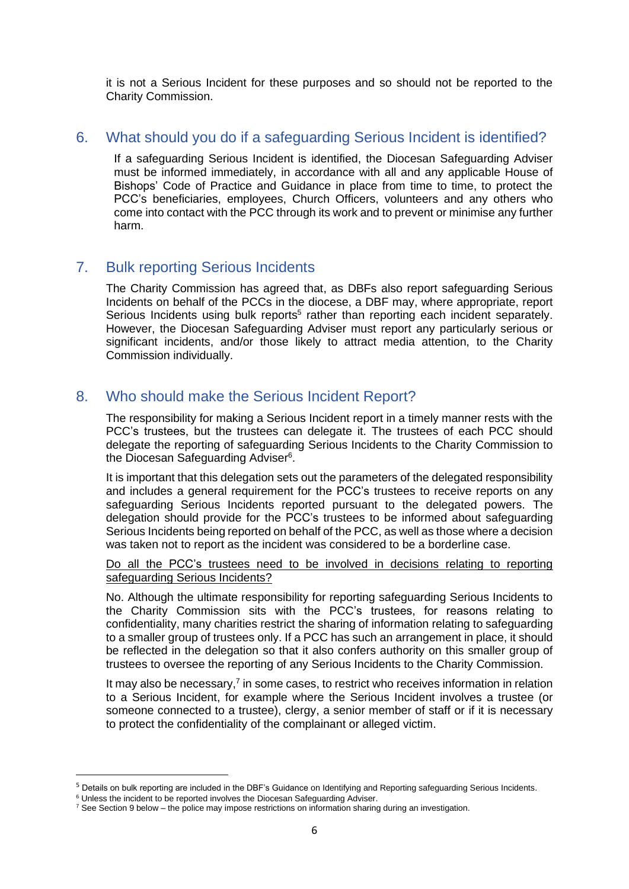it is not a Serious Incident for these purposes and so should not be reported to the Charity Commission.

#### 6. What should you do if a safeguarding Serious Incident is identified?

If a safeguarding Serious Incident is identified, the Diocesan Safeguarding Adviser must be informed immediately, in accordance with all and any applicable House of Bishops' Code of Practice and Guidance in place from time to time, to protect the PCC's beneficiaries, employees, Church Officers, volunteers and any others who come into contact with the PCC through its work and to prevent or minimise any further harm.

#### 7. Bulk reporting Serious Incidents

The Charity Commission has agreed that, as DBFs also report safeguarding Serious Incidents on behalf of the PCCs in the diocese, a DBF may, where appropriate, report Serious Incidents using bulk reports<sup>5</sup> rather than reporting each incident separately. However, the Diocesan Safeguarding Adviser must report any particularly serious or significant incidents, and/or those likely to attract media attention, to the Charity Commission individually.

# 8. Who should make the Serious Incident Report?

The responsibility for making a Serious Incident report in a timely manner rests with the PCC's trustees, but the trustees can delegate it. The trustees of each PCC should delegate the reporting of safeguarding Serious Incidents to the Charity Commission to the Diocesan Safeguarding Adviser<sup>6</sup>.

It is important that this delegation sets out the parameters of the delegated responsibility and includes a general requirement for the PCC's trustees to receive reports on any safeguarding Serious Incidents reported pursuant to the delegated powers. The delegation should provide for the PCC's trustees to be informed about safeguarding Serious Incidents being reported on behalf of the PCC, as well as those where a decision was taken not to report as the incident was considered to be a borderline case.

#### Do all the PCC's trustees need to be involved in decisions relating to reporting safeguarding Serious Incidents?

No. Although the ultimate responsibility for reporting safeguarding Serious Incidents to the Charity Commission sits with the PCC's trustees, for reasons relating to confidentiality, many charities restrict the sharing of information relating to safeguarding to a smaller group of trustees only. If a PCC has such an arrangement in place, it should be reflected in the delegation so that it also confers authority on this smaller group of trustees to oversee the reporting of any Serious Incidents to the Charity Commission.

It may also be necessary, $<sup>7</sup>$  in some cases, to restrict who receives information in relation</sup> to a Serious Incident, for example where the Serious Incident involves a trustee (or someone connected to a trustee), clergy, a senior member of staff or if it is necessary to protect the confidentiality of the complainant or alleged victim.

<sup>&</sup>lt;sup>5</sup> Details on bulk reporting are included in the DBF's Guidance on Identifying and Reporting safeguarding Serious Incidents.

<sup>&</sup>lt;sup>6</sup> Unless the incident to be reported involves the Diocesan Safeguarding Adviser.

<sup>&</sup>lt;sup>7</sup> See Section 9 below – the police may impose restrictions on information sharing during an investigation.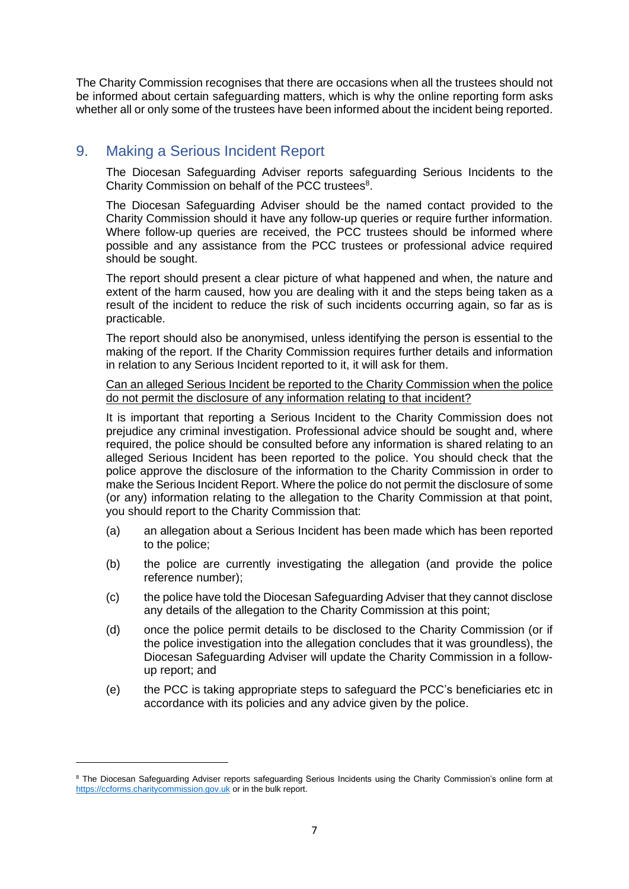The Charity Commission recognises that there are occasions when all the trustees should not be informed about certain safeguarding matters, which is why the online reporting form asks whether all or only some of the trustees have been informed about the incident being reported.

# 9. Making a Serious Incident Report

The Diocesan Safeguarding Adviser reports safeguarding Serious Incidents to the Charity Commission on behalf of the PCC trustees<sup>8</sup>.

The Diocesan Safeguarding Adviser should be the named contact provided to the Charity Commission should it have any follow-up queries or require further information. Where follow-up queries are received, the PCC trustees should be informed where possible and any assistance from the PCC trustees or professional advice required should be sought.

The report should present a clear picture of what happened and when, the nature and extent of the harm caused, how you are dealing with it and the steps being taken as a result of the incident to reduce the risk of such incidents occurring again, so far as is practicable.

The report should also be anonymised, unless identifying the person is essential to the making of the report. If the Charity Commission requires further details and information in relation to any Serious Incident reported to it, it will ask for them.

Can an alleged Serious Incident be reported to the Charity Commission when the police do not permit the disclosure of any information relating to that incident?

It is important that reporting a Serious Incident to the Charity Commission does not prejudice any criminal investigation. Professional advice should be sought and, where required, the police should be consulted before any information is shared relating to an alleged Serious Incident has been reported to the police. You should check that the police approve the disclosure of the information to the Charity Commission in order to make the Serious Incident Report. Where the police do not permit the disclosure of some (or any) information relating to the allegation to the Charity Commission at that point, you should report to the Charity Commission that:

- (a) an allegation about a Serious Incident has been made which has been reported to the police;
- (b) the police are currently investigating the allegation (and provide the police reference number);
- (c) the police have told the Diocesan Safeguarding Adviser that they cannot disclose any details of the allegation to the Charity Commission at this point;
- (d) once the police permit details to be disclosed to the Charity Commission (or if the police investigation into the allegation concludes that it was groundless), the Diocesan Safeguarding Adviser will update the Charity Commission in a followup report; and
- (e) the PCC is taking appropriate steps to safeguard the PCC's beneficiaries etc in accordance with its policies and any advice given by the police.

<sup>&</sup>lt;sup>8</sup> The Diocesan Safeguarding Adviser reports safeguarding Serious Incidents using the Charity Commission's online form at [https://ccforms.charitycommission.gov.uk](https://ccforms.charitycommission.gov.uk/) or in the bulk report.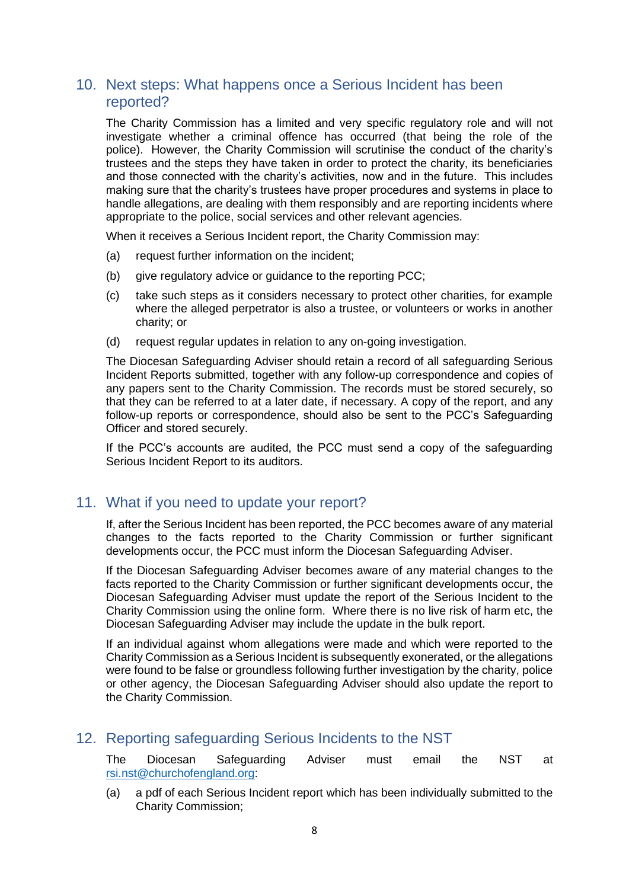#### 10. Next steps: What happens once a Serious Incident has been reported?

The Charity Commission has a limited and very specific regulatory role and will not investigate whether a criminal offence has occurred (that being the role of the police). However, the Charity Commission will scrutinise the conduct of the charity's trustees and the steps they have taken in order to protect the charity, its beneficiaries and those connected with the charity's activities, now and in the future. This includes making sure that the charity's trustees have proper procedures and systems in place to handle allegations, are dealing with them responsibly and are reporting incidents where appropriate to the police, social services and other relevant agencies.

When it receives a Serious Incident report, the Charity Commission may:

- (a) request further information on the incident;
- (b) give regulatory advice or guidance to the reporting PCC;
- (c) take such steps as it considers necessary to protect other charities, for example where the alleged perpetrator is also a trustee, or volunteers or works in another charity; or
- (d) request regular updates in relation to any on-going investigation.

The Diocesan Safeguarding Adviser should retain a record of all safeguarding Serious Incident Reports submitted, together with any follow-up correspondence and copies of any papers sent to the Charity Commission. The records must be stored securely, so that they can be referred to at a later date, if necessary. A copy of the report, and any follow-up reports or correspondence, should also be sent to the PCC's Safeguarding Officer and stored securely.

If the PCC's accounts are audited, the PCC must send a copy of the safeguarding Serious Incident Report to its auditors.

#### 11. What if you need to update your report?

If, after the Serious Incident has been reported, the PCC becomes aware of any material changes to the facts reported to the Charity Commission or further significant developments occur, the PCC must inform the Diocesan Safeguarding Adviser.

If the Diocesan Safeguarding Adviser becomes aware of any material changes to the facts reported to the Charity Commission or further significant developments occur, the Diocesan Safeguarding Adviser must update the report of the Serious Incident to the Charity Commission using the online form. Where there is no live risk of harm etc, the Diocesan Safeguarding Adviser may include the update in the bulk report.

If an individual against whom allegations were made and which were reported to the Charity Commission as a Serious Incident is subsequently exonerated, or the allegations were found to be false or groundless following further investigation by the charity, police or other agency, the Diocesan Safeguarding Adviser should also update the report to the Charity Commission.

#### 12. Reporting safeguarding Serious Incidents to the NST

The Diocesan Safeguarding Adviser must email the NST at [rsi.nst@churchofengland.org:](mailto:rsi.nst@churchofengland.org)

(a) a pdf of each Serious Incident report which has been individually submitted to the Charity Commission;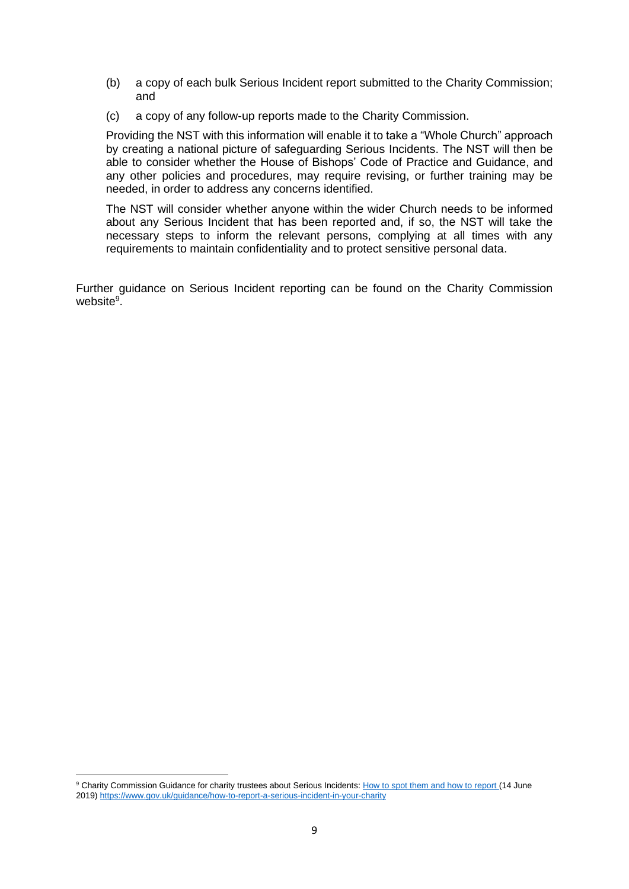- (b) a copy of each bulk Serious Incident report submitted to the Charity Commission; and
- (c) a copy of any follow-up reports made to the Charity Commission.

Providing the NST with this information will enable it to take a "Whole Church" approach by creating a national picture of safeguarding Serious Incidents. The NST will then be able to consider whether the House of Bishops' Code of Practice and Guidance, and any other policies and procedures, may require revising, or further training may be needed, in order to address any concerns identified.

The NST will consider whether anyone within the wider Church needs to be informed about any Serious Incident that has been reported and, if so, the NST will take the necessary steps to inform the relevant persons, complying at all times with any requirements to maintain confidentiality and to protect sensitive personal data.

Further guidance on Serious Incident reporting can be found on the Charity Commission website<sup>9</sup>.

<sup>&</sup>lt;sup>9</sup> Charity Commission Guidance for charity trustees about Serious Incidents[: How to spot them and how to report](https://www.gov.uk/guidance/how-to-report-a-serious-incident-in-your-charity) (14 June 2019[\) https://www.gov.uk/guidance/how-to-report-a-serious-incident-in-your-charity](https://www.gov.uk/guidance/how-to-report-a-serious-incident-in-your-charity)